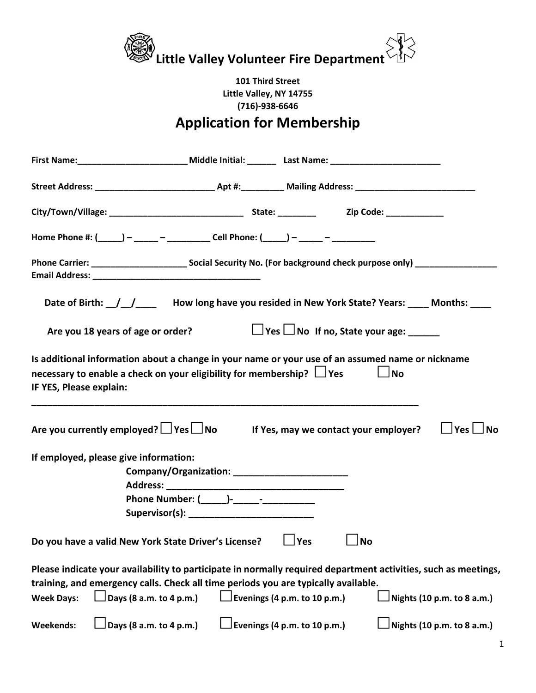

## **Application for Membership**

|                                       | Home Phone #: $(\_\_\_\_)$ - ____ - ____________ Cell Phone: $(\_\_\_\_)$ - ___ - ________                                                                                                                                                                                                                                                                                                                         |
|---------------------------------------|--------------------------------------------------------------------------------------------------------------------------------------------------------------------------------------------------------------------------------------------------------------------------------------------------------------------------------------------------------------------------------------------------------------------|
|                                       |                                                                                                                                                                                                                                                                                                                                                                                                                    |
|                                       | Date of Birth: 11.1000 How long have you resided in New York State? Years: 10.100 Months:                                                                                                                                                                                                                                                                                                                          |
|                                       | $\Box$ Yes $\Box$ No If no, State your age:<br>Are you 18 years of age or order?                                                                                                                                                                                                                                                                                                                                   |
| IF YES, Please explain:               | Is additional information about a change in your name or your use of an assumed name or nickname<br>necessary to enable a check on your eligibility for membership? $\Box$ Yes<br>$\Box$ No                                                                                                                                                                                                                        |
|                                       | Are you currently employed? $\Box$ Yes $\Box$ No If Yes, may we contact your employer?<br>$\Box$ Yes $\Box$ No                                                                                                                                                                                                                                                                                                     |
|                                       | If employed, please give information:<br>Company/Organization: __________________________                                                                                                                                                                                                                                                                                                                          |
|                                       | Do you have a valid New York State Driver's License?<br>$\vert$ Yes<br><b>No</b>                                                                                                                                                                                                                                                                                                                                   |
| <b>Week Days:</b><br><b>Weekends:</b> | Please indicate your availability to participate in normally required department activities, such as meetings,<br>training, and emergency calls. Check all time periods you are typically available.<br>$\Box$ Days (8 a.m. to 4 p.m.)<br>$\sqrt{\frac{1}{2}}$ Evenings (4 p.m. to 10 p.m.)<br>Nights (10 p.m. to 8 a.m.)<br>Days (8 a.m. to 4 p.m.)<br>Evenings (4 p.m. to 10 p.m.)<br>Nights (10 p.m. to 8 a.m.) |
|                                       |                                                                                                                                                                                                                                                                                                                                                                                                                    |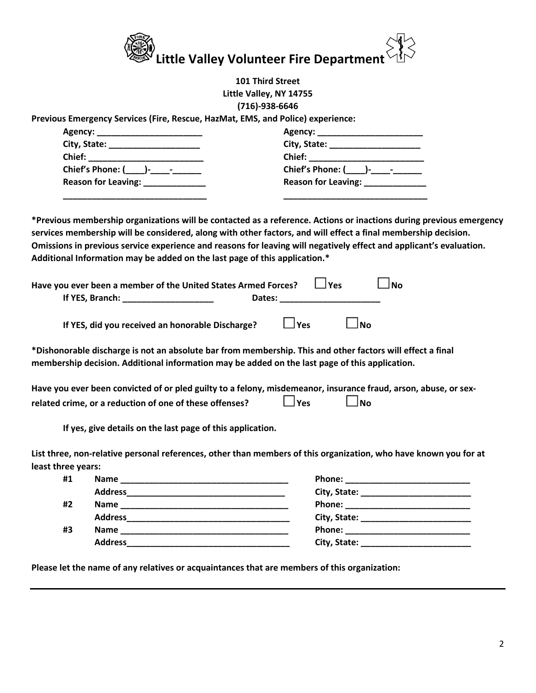

| <b>101 Third Street</b>                                                                                                                                                                                                                                                                                                                                                                                                                    |                                                                                                                                                                                                                                                           |  |
|--------------------------------------------------------------------------------------------------------------------------------------------------------------------------------------------------------------------------------------------------------------------------------------------------------------------------------------------------------------------------------------------------------------------------------------------|-----------------------------------------------------------------------------------------------------------------------------------------------------------------------------------------------------------------------------------------------------------|--|
| Little Valley, NY 14755                                                                                                                                                                                                                                                                                                                                                                                                                    |                                                                                                                                                                                                                                                           |  |
| $(716)-938-6646$                                                                                                                                                                                                                                                                                                                                                                                                                           |                                                                                                                                                                                                                                                           |  |
| Previous Emergency Services (Fire, Rescue, HazMat, EMS, and Police) experience:                                                                                                                                                                                                                                                                                                                                                            |                                                                                                                                                                                                                                                           |  |
|                                                                                                                                                                                                                                                                                                                                                                                                                                            |                                                                                                                                                                                                                                                           |  |
| City, State: _______________________                                                                                                                                                                                                                                                                                                                                                                                                       | City, State: ____________________                                                                                                                                                                                                                         |  |
|                                                                                                                                                                                                                                                                                                                                                                                                                                            | Chief: <u>Alexander Chief (Alexander Chief (Alexander Chief (Alexander Chief (Alexander Chief Chief Chief Chief Chief Chief Chief Chief Chief Chief Chief Chief Chief Chief Chief Chief Chief Chief Chief Chief Chief Chief Chie</u>                      |  |
| Chief's Phone: (_____)-____-______                                                                                                                                                                                                                                                                                                                                                                                                         |                                                                                                                                                                                                                                                           |  |
| Reason for Leaving: _____________                                                                                                                                                                                                                                                                                                                                                                                                          | Reason for Leaving: Neason for Leaving:                                                                                                                                                                                                                   |  |
| *Previous membership organizations will be contacted as a reference. Actions or inactions during previous emergency<br>services membership will be considered, along with other factors, and will effect a final membership decision.<br>Omissions in previous service experience and reasons for leaving will negatively effect and applicant's evaluation.<br>Additional Information may be added on the last page of this application.* |                                                                                                                                                                                                                                                           |  |
| Have you ever been a member of the United States Armed Forces?<br>If YES, Branch: New York Street, New York Street, New York Street, New York Street, New York Street, New York Street, New York Street, New York Street, New York Street, New York Street, New York Street, New York Street, Ne                                                                                                                                           | $\Box$ Yes<br>$\Box$ No<br>Dates: National Property of the Contract of the Contract of the Contract of the Contract of the Contract of the Contract of the Contract of the Contract of the Contract of the Contract of the Contract of the Contract of th |  |
| If YES, did you received an honorable Discharge?                                                                                                                                                                                                                                                                                                                                                                                           | $\Box$ Yes<br>$\Box$ No                                                                                                                                                                                                                                   |  |
| *Dishonorable discharge is not an absolute bar from membership. This and other factors will effect a final<br>membership decision. Additional information may be added on the last page of this application.                                                                                                                                                                                                                               |                                                                                                                                                                                                                                                           |  |
| Have you ever been convicted of or pled guilty to a felony, misdemeanor, insurance fraud, arson, abuse, or sex-                                                                                                                                                                                                                                                                                                                            |                                                                                                                                                                                                                                                           |  |
| related crime, or a reduction of one of these offenses?                                                                                                                                                                                                                                                                                                                                                                                    | $\Box$ Yes<br>$\Box$ No                                                                                                                                                                                                                                   |  |
| If yes, give details on the last page of this application.                                                                                                                                                                                                                                                                                                                                                                                 |                                                                                                                                                                                                                                                           |  |
| List three, non-relative personal references, other than members of this organization, who have known you for at<br>least three years:                                                                                                                                                                                                                                                                                                     |                                                                                                                                                                                                                                                           |  |
| #1                                                                                                                                                                                                                                                                                                                                                                                                                                         |                                                                                                                                                                                                                                                           |  |
|                                                                                                                                                                                                                                                                                                                                                                                                                                            |                                                                                                                                                                                                                                                           |  |
| #2                                                                                                                                                                                                                                                                                                                                                                                                                                         | Phone: New York Phone State Phone State Phone State Phone State Phone State Phone State Phone State Phone State Phone State Phone State Phone State Phone State Phone State Phone State Phone State Phone State Phone State Ph                            |  |
|                                                                                                                                                                                                                                                                                                                                                                                                                                            |                                                                                                                                                                                                                                                           |  |
| #3                                                                                                                                                                                                                                                                                                                                                                                                                                         |                                                                                                                                                                                                                                                           |  |
|                                                                                                                                                                                                                                                                                                                                                                                                                                            |                                                                                                                                                                                                                                                           |  |

**Please let the name of any relatives or acquaintances that are members of this organization:**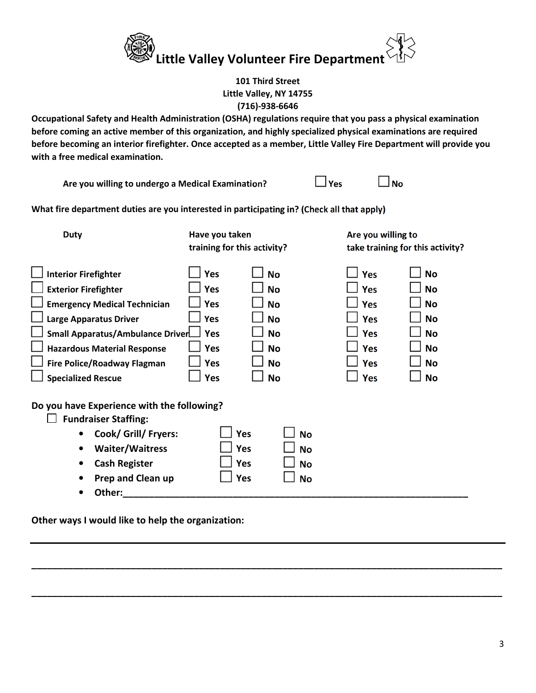

**Occupational Safety and Health Administration (OSHA) regulations require that you pass a physical examination before coming an active member of this organization, and highly specialized physical examinations are required before becoming an interior firefighter. Once accepted as a member, Little Valley Fire Department will provide you with a free medical examination.** 

**Are you willing to undergo a Medical Examination?**  $\Box$  Yes  $\Box$  No

**What fire department duties are you interested in participating in? (Check all that apply)** 

| <b>Duty</b>                                                                                                                                                                                                                                                              | Have you taken<br>training for this activity?                      |                                                                                                      | Are you willing to<br>take training for this activity?                                                |                                                                                                      |
|--------------------------------------------------------------------------------------------------------------------------------------------------------------------------------------------------------------------------------------------------------------------------|--------------------------------------------------------------------|------------------------------------------------------------------------------------------------------|-------------------------------------------------------------------------------------------------------|------------------------------------------------------------------------------------------------------|
| <b>Interior Firefighter</b><br><b>Exterior Firefighter</b><br><b>Emergency Medical Technician</b><br><b>Large Apparatus Driver</b><br>Small Apparatus/Ambulance Driver<br><b>Hazardous Material Response</b><br>Fire Police/Roadway Flagman<br><b>Specialized Rescue</b> | Yes<br>Yes<br>Yes<br>Yes<br><b>Yes</b><br>Yes<br><b>Yes</b><br>Yes | <b>No</b><br><b>No</b><br><b>No</b><br><b>No</b><br><b>No</b><br><b>No</b><br><b>No</b><br><b>No</b> | <b>Yes</b><br>Yes<br><b>Yes</b><br><b>Yes</b><br><b>Yes</b><br><b>Yes</b><br><b>Yes</b><br><b>Yes</b> | <b>No</b><br><b>No</b><br><b>No</b><br><b>No</b><br><b>No</b><br><b>No</b><br><b>No</b><br><b>No</b> |
| Do you have Experience with the following?<br><b>Fundraiser Staffing:</b><br>Cook/ Grill/ Fryers:<br>$\bullet$<br><b>Waiter/Waitress</b><br>$\bullet$<br><b>Cash Register</b><br>$\bullet$<br><b>Prep and Clean up</b><br>Other:<br>٠                                    | Yes<br><b>Yes</b><br><b>Yes</b><br><b>Yes</b>                      | <b>No</b><br><b>No</b><br><b>No</b><br><b>No</b>                                                     |                                                                                                       |                                                                                                      |

**\_\_\_\_\_\_\_\_\_\_\_\_\_\_\_\_\_\_\_\_\_\_\_\_\_\_\_\_\_\_\_\_\_\_\_\_\_\_\_\_\_\_\_\_\_\_\_\_\_\_\_\_\_\_\_\_\_\_\_\_\_\_\_\_\_\_\_\_\_\_\_\_\_\_\_\_\_\_\_\_\_\_\_\_\_\_\_\_\_\_** 

**\_\_\_\_\_\_\_\_\_\_\_\_\_\_\_\_\_\_\_\_\_\_\_\_\_\_\_\_\_\_\_\_\_\_\_\_\_\_\_\_\_\_\_\_\_\_\_\_\_\_\_\_\_\_\_\_\_\_\_\_\_\_\_\_\_\_\_\_\_\_\_\_\_\_\_\_\_\_\_\_\_\_\_\_\_\_\_\_\_\_** 

**Other ways I would like to help the organization:**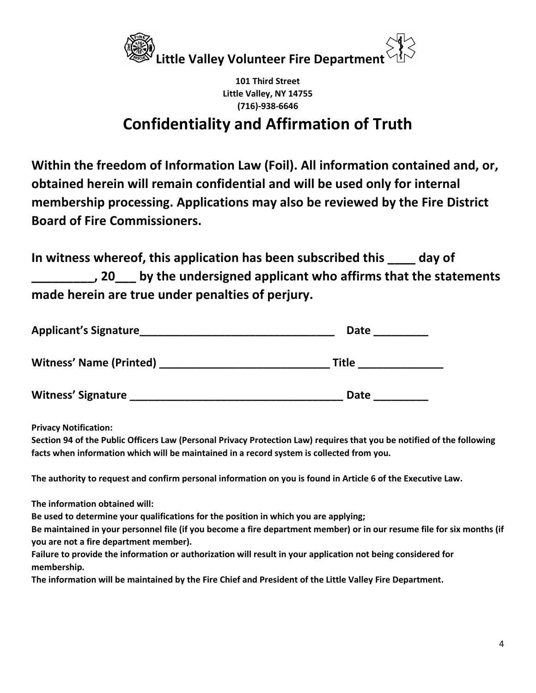

## **Confidentiality and Affirmation of Truth**

**Within the freedom of Information Law (Foil). All information contained and, or, obtained herein will remain confidential and will be used only for internal membership processing. Applications may also be reviewed by the Fire District Board of Fire Commissioners.** 

**In witness whereof, this application has been subscribed this \_\_\_\_ day of \_\_\_\_\_\_\_\_\_, 20\_\_\_ by the undersigned applicant who affirms that the statements made herein are true under penalties of perjury.** 

| <b>Applicant's Signature</b>   | <b>Date</b>  |  |  |
|--------------------------------|--------------|--|--|
| <b>Witness' Name (Printed)</b> | <b>Title</b> |  |  |
| <b>Witness' Signature</b>      | <b>Date</b>  |  |  |

**Privacy Notification:** 

**Section 94 of the Public Officers Law (Personal Privacy Protection Law) requires that you be notified of the following facts when information which will be maintained in a record system is collected from you.** 

**The authority to request and confirm personal information on you is found in Article 6 of the Executive Law.** 

**The information obtained will:** 

**Be used to determine your qualifications for the position in which you are applying;** 

**Be maintained in your personnel file (if you become a fire department member) or in our resume file for six months (if you are not a fire department member).** 

**Failure to provide the information or authorization will result in your application not being considered for membership.** 

**The information will be maintained by the Fire Chief and President of the Little Valley Fire Department.**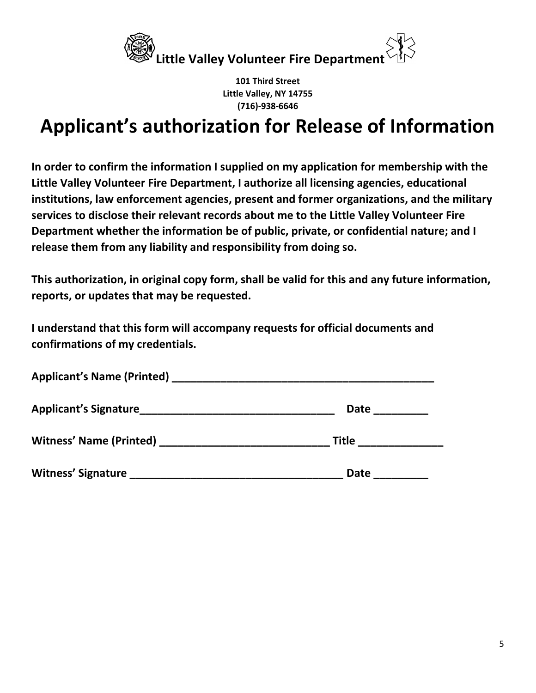

## **Applicant's authorization for Release of Information**

**In order to confirm the information I supplied on my application for membership with the Little Valley Volunteer Fire Department, I authorize all licensing agencies, educational institutions, law enforcement agencies, present and former organizations, and the military services to disclose their relevant records about me to the Little Valley Volunteer Fire Department whether the information be of public, private, or confidential nature; and I release them from any liability and responsibility from doing so.** 

**This authorization, in original copy form, shall be valid for this and any future information, reports, or updates that may be requested.** 

**I understand that this form will accompany requests for official documents and confirmations of my credentials.** 

| <b>Applicant's Name (Printed)</b> Applicant of the state of the state of the state of the state of the state of the state of the state of the state of the state of the state of the state of the state of the state of the state o |             |  |  |
|-------------------------------------------------------------------------------------------------------------------------------------------------------------------------------------------------------------------------------------|-------------|--|--|
| <b>Applicant's Signature</b>                                                                                                                                                                                                        | <b>Date</b> |  |  |
| <b>Witness' Name (Printed)</b><br><u> 1980 - Jan Barbarat, martin da shekara tsa na shekara tsa 1980 - Ang Barbarat na shekara tsa na shekara tsa n</u>                                                                             | Title       |  |  |
| <b>Witness' Signature</b>                                                                                                                                                                                                           | Date        |  |  |